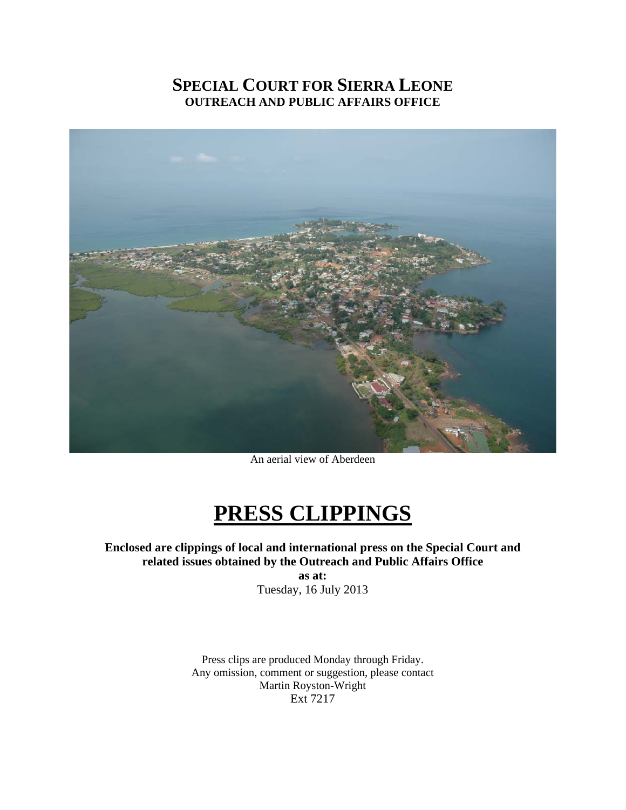## **SPECIAL COURT FOR SIERRA LEONE OUTREACH AND PUBLIC AFFAIRS OFFICE**



An aerial view of Aberdeen

# **PRESS CLIPPINGS**

### **Enclosed are clippings of local and international press on the Special Court and related issues obtained by the Outreach and Public Affairs Office**

**as at:**  Tuesday, 16 July 2013

Press clips are produced Monday through Friday. Any omission, comment or suggestion, please contact Martin Royston-Wright Ext 7217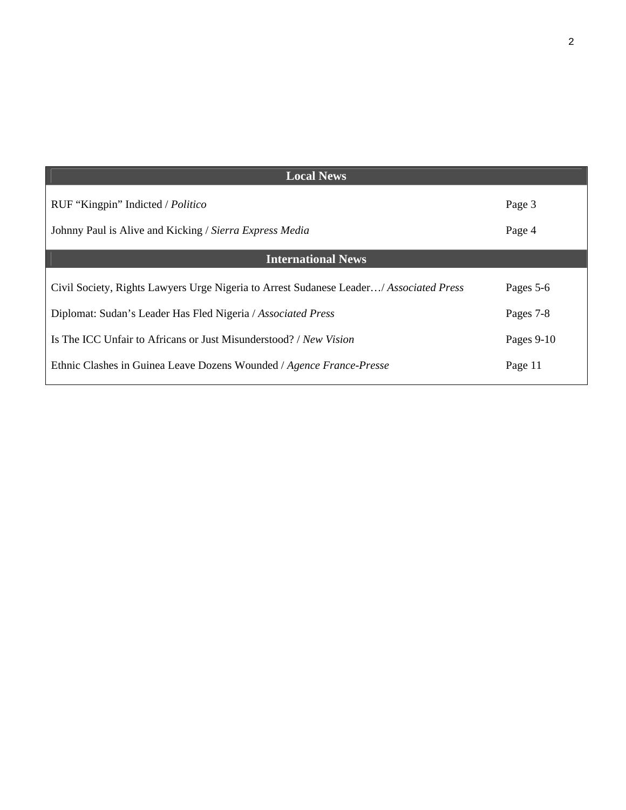| <b>Local News</b>                                                                      |            |
|----------------------------------------------------------------------------------------|------------|
| RUF "Kingpin" Indicted / Politico                                                      | Page 3     |
| Johnny Paul is Alive and Kicking / Sierra Express Media                                | Page 4     |
| <b>International News</b>                                                              |            |
| Civil Society, Rights Lawyers Urge Nigeria to Arrest Sudanese Leader/ Associated Press | Pages 5-6  |
| Diplomat: Sudan's Leader Has Fled Nigeria / Associated Press                           | Pages 7-8  |
| Is The ICC Unfair to Africans or Just Misunderstood? / New Vision                      | Pages 9-10 |
| Ethnic Clashes in Guinea Leave Dozens Wounded / Agence France-Presse                   | Page 11    |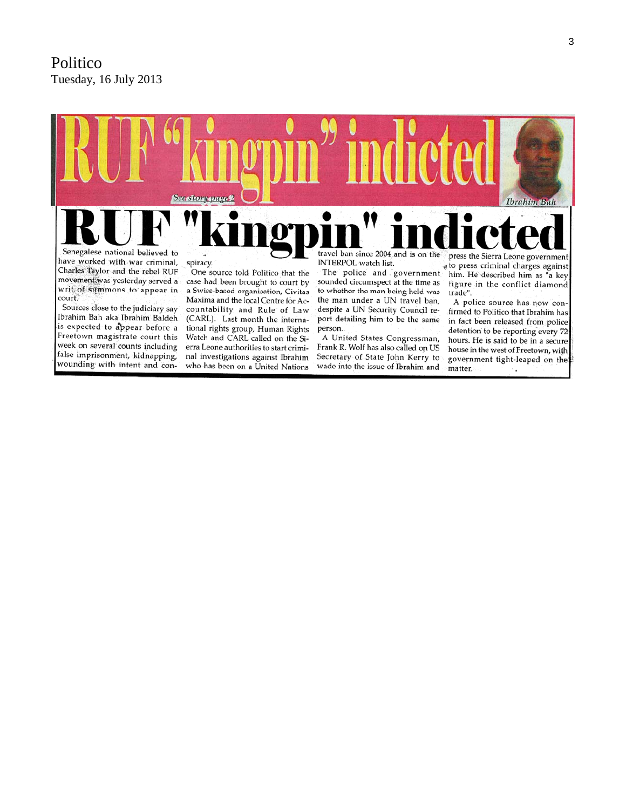## Politico Tuesday, 16 July 2013

false imprisonment, kidnapping,

wounding with intent and con-



Secretary of State John Kerry to

wade into the issue of Ibrahim and

nal investigations against Ibrahim

who has been on a United Nations

3

government tight-leaped on the

 $\epsilon_{\rm d}$ 

matter.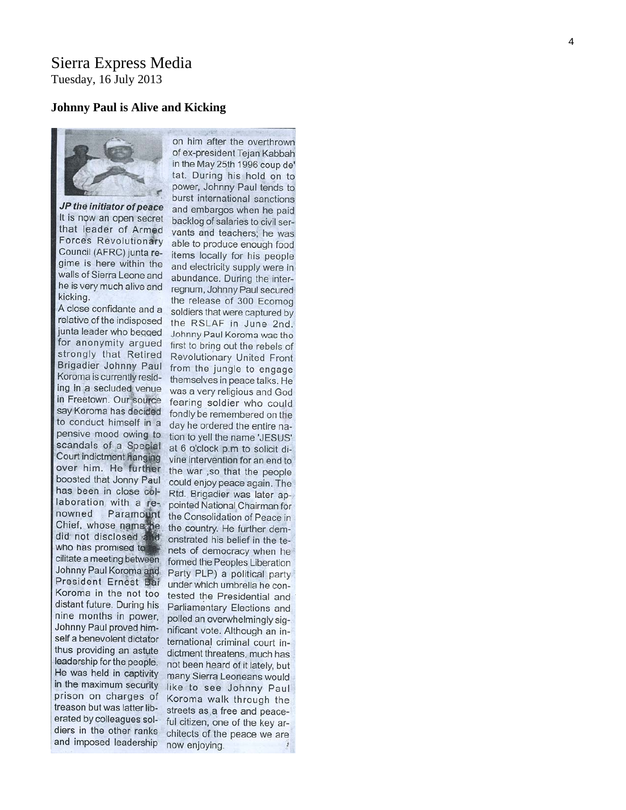## Sierra Express Media

Tuesday, 16 July 2013

#### **Johnny Paul is Alive and Kicking**



JP the initiator of peace It is now an open secret that leader of Armed Forces Revolutionary Council (AFRC) junta regime is here within the walls of Sierra Leone and he is very much alive and kicking.

A close confidante and a relative of the indisposed junta leader who begged for anonymity argued strongly that Retired Brigadier Johnny Paul Koroma is currently residing in a secluded venue in Freetown. Our source say Koroma has decided to conduct himself in a pensive mood owing to scandals of a Special Court indictment hanging over him. He further boosted that Jonny Paul has been in close collaboration with a renowned Paramount Chief, whose name he did not disclosed and who has promised to cilitate a meeting between Johnny Paul Koroma and President Ernest Bai Koroma in the not too distant future. During his nine months in power, Johnny Paul proved himself a benevolent dictator thus providing an astute leadership for the people. He was held in captivity in the maximum security prison on charges of treason but was latter liberated by colleagues soldiers in the other ranks and imposed leadership

on him after the overthrown of ex-president Tejan Kabbah in the May 25th 1996 coup de' tat. During his hold on to power, Johnny Paul tends to burst international sanctions and embargos when he paid backlog of salaries to civil servants and teachers; he was able to produce enough food items locally for his people and electricity supply were in abundance. During the interregnum, Johnny Paul secured the release of 300 Ecomog soldiers that were captured by the RSLAF in June 2nd. Johnny Paul Koroma was the first to bring out the rebels of Revolutionary United Front from the jungle to engage themselves in peace talks. He was a very religious and God fearing soldier who could fondly be remembered on the day he ordered the entire nation to yell the name 'JESUS' at 6 o'clock p.m to solicit divine intervention for an end to the war ,so that the people could enjoy peace again. The Rtd. Brigadier was later appointed National Chairman for the Consolidation of Peace in the country. He further demonstrated his belief in the tenets of democracy when he formed the Peoples Liberation Party PLP) a political party under which umbrella he contested the Presidential and Parliamentary Elections and polled an overwhelmingly significant vote. Although an international criminal court indictment threatens, much has not been heard of it lately, but many Sierra Leoneans would like to see Johnny Paul Koroma walk through the streets as a free and peaceful citizen, one of the key architects of the peace we are now enjoying.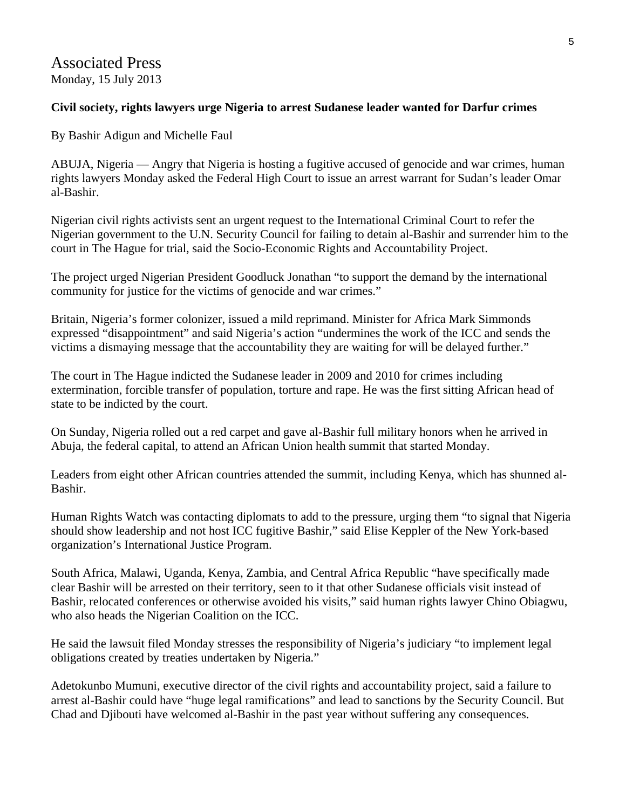Associated Press Monday, 15 July 2013

#### **Civil society, rights lawyers urge Nigeria to arrest Sudanese leader wanted for Darfur crimes**

By Bashir Adigun and Michelle Faul

ABUJA, Nigeria — Angry that Nigeria is hosting a fugitive accused of genocide and war crimes, human rights lawyers Monday asked the Federal High Court to issue an arrest warrant for Sudan's leader Omar al-Bashir.

Nigerian civil rights activists sent an urgent request to the International Criminal Court to refer the Nigerian government to the U.N. Security Council for failing to detain al-Bashir and surrender him to the court in The Hague for trial, said the Socio-Economic Rights and Accountability Project.

The project urged Nigerian President Goodluck Jonathan "to support the demand by the international community for justice for the victims of genocide and war crimes."

Britain, Nigeria's former colonizer, issued a mild reprimand. Minister for Africa Mark Simmonds expressed "disappointment" and said Nigeria's action "undermines the work of the ICC and sends the victims a dismaying message that the accountability they are waiting for will be delayed further."

The court in The Hague indicted the Sudanese leader in 2009 and 2010 for crimes including extermination, forcible transfer of population, torture and rape. He was the first sitting African head of state to be indicted by the court.

On Sunday, Nigeria rolled out a red carpet and gave al-Bashir full military honors when he arrived in Abuja, the federal capital, to attend an African Union health summit that started Monday.

Leaders from eight other African countries attended the summit, including Kenya, which has shunned al-Bashir.

Human Rights Watch was contacting diplomats to add to the pressure, urging them "to signal that Nigeria should show leadership and not host ICC fugitive Bashir," said Elise Keppler of the New York-based organization's International Justice Program.

South Africa, Malawi, Uganda, Kenya, Zambia, and Central Africa Republic "have specifically made clear Bashir will be arrested on their territory, seen to it that other Sudanese officials visit instead of Bashir, relocated conferences or otherwise avoided his visits," said human rights lawyer Chino Obiagwu, who also heads the Nigerian Coalition on the ICC.

He said the lawsuit filed Monday stresses the responsibility of Nigeria's judiciary "to implement legal obligations created by treaties undertaken by Nigeria."

Adetokunbo Mumuni, executive director of the civil rights and accountability project, said a failure to arrest al-Bashir could have "huge legal ramifications" and lead to sanctions by the Security Council. But Chad and Djibouti have welcomed al-Bashir in the past year without suffering any consequences.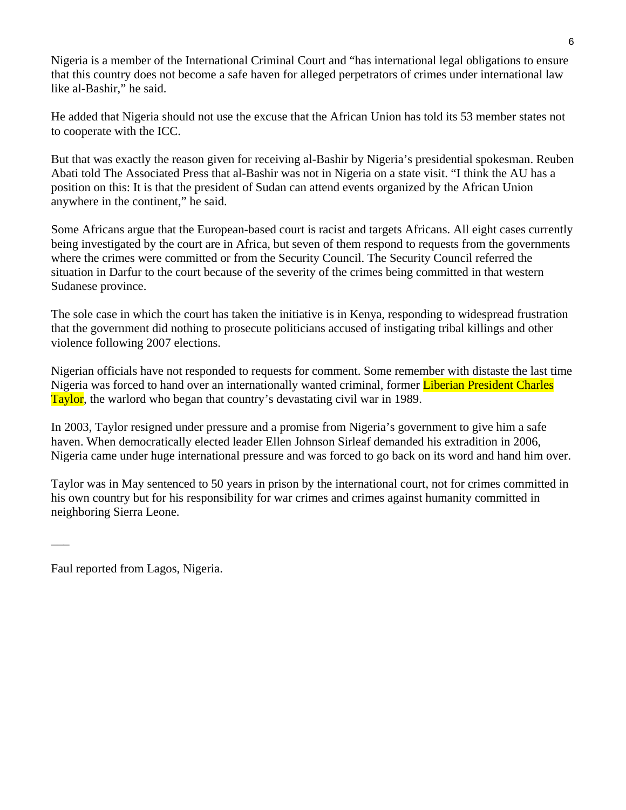Nigeria is a member of the International Criminal Court and "has international legal obligations to ensure that this country does not become a safe haven for alleged perpetrators of crimes under international law like al-Bashir," he said.

He added that Nigeria should not use the excuse that the African Union has told its 53 member states not to cooperate with the ICC.

But that was exactly the reason given for receiving al-Bashir by Nigeria's presidential spokesman. Reuben Abati told The Associated Press that al-Bashir was not in Nigeria on a state visit. "I think the AU has a position on this: It is that the president of Sudan can attend events organized by the African Union anywhere in the continent," he said.

Some Africans argue that the European-based court is racist and targets Africans. All eight cases currently being investigated by the court are in Africa, but seven of them respond to requests from the governments where the crimes were committed or from the Security Council. The Security Council referred the situation in Darfur to the court because of the severity of the crimes being committed in that western Sudanese province.

The sole case in which the court has taken the initiative is in Kenya, responding to widespread frustration that the government did nothing to prosecute politicians accused of instigating tribal killings and other violence following 2007 elections.

Nigerian officials have not responded to requests for comment. Some remember with distaste the last time Nigeria was forced to hand over an internationally wanted criminal, former Liberian President Charles Taylor, the warlord who began that country's devastating civil war in 1989.

In 2003, Taylor resigned under pressure and a promise from Nigeria's government to give him a safe haven. When democratically elected leader Ellen Johnson Sirleaf demanded his extradition in 2006, Nigeria came under huge international pressure and was forced to go back on its word and hand him over.

Taylor was in May sentenced to 50 years in prison by the international court, not for crimes committed in his own country but for his responsibility for war crimes and crimes against humanity committed in neighboring Sierra Leone.

Faul reported from Lagos, Nigeria.

 $\overline{\phantom{a}}$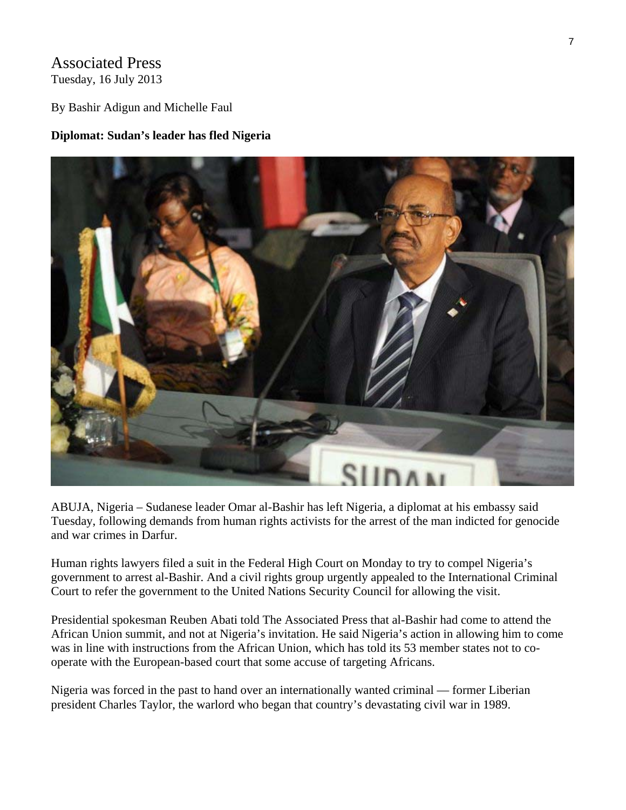## Associated Press Tuesday, 16 July 2013

By Bashir Adigun and Michelle Faul

#### **Diplomat: Sudan's leader has fled Nigeria**



ABUJA, Nigeria – Sudanese leader Omar al-Bashir has left Nigeria, a diplomat at his embassy said Tuesday, following demands from human rights activists for the arrest of the man indicted for genocide and war crimes in Darfur.

Human rights lawyers filed a suit in the Federal High Court on Monday to try to compel Nigeria's government to arrest al-Bashir. And a civil rights group urgently appealed to the International Criminal Court to refer the government to the United Nations Security Council for allowing the visit.

Presidential spokesman Reuben Abati told The Associated Press that al-Bashir had come to attend the African Union summit, and not at Nigeria's invitation. He said Nigeria's action in allowing him to come was in line with instructions from the African Union, which has told its 53 member states not to cooperate with the European-based court that some accuse of targeting Africans.

Nigeria was forced in the past to hand over an internationally wanted criminal — former Liberian president Charles Taylor, the warlord who began that country's devastating civil war in 1989.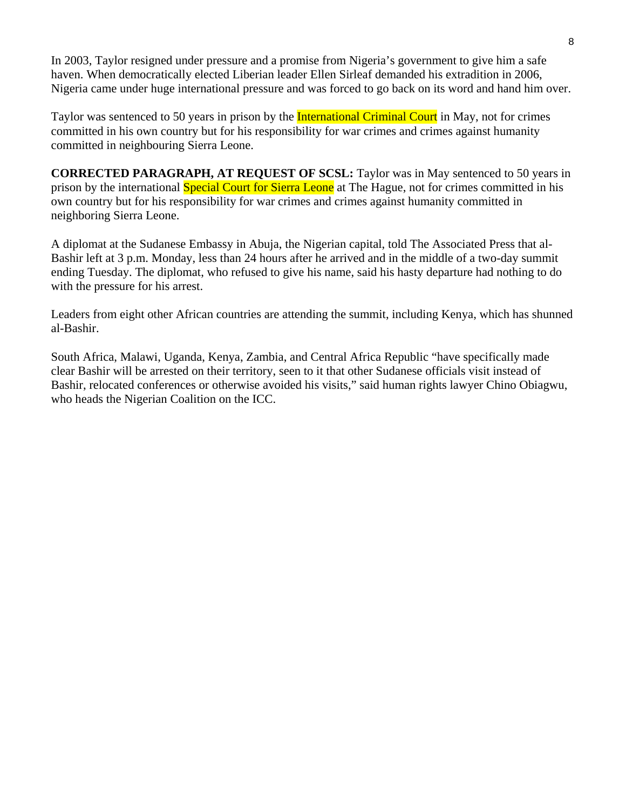In 2003, Taylor resigned under pressure and a promise from Nigeria's government to give him a safe haven. When democratically elected Liberian leader Ellen Sirleaf demanded his extradition in 2006, Nigeria came under huge international pressure and was forced to go back on its word and hand him over.

Taylor was sentenced to 50 years in prison by the **International Criminal Court** in May, not for crimes committed in his own country but for his responsibility for war crimes and crimes against humanity committed in neighbouring Sierra Leone.

**CORRECTED PARAGRAPH, AT REQUEST OF SCSL:** Taylor was in May sentenced to 50 years in prison by the international Special Court for Sierra Leone at The Hague, not for crimes committed in his own country but for his responsibility for war crimes and crimes against humanity committed in neighboring Sierra Leone.

A diplomat at the Sudanese Embassy in Abuja, the Nigerian capital, told The Associated Press that al-Bashir left at 3 p.m. Monday, less than 24 hours after he arrived and in the middle of a two-day summit ending Tuesday. The diplomat, who refused to give his name, said his hasty departure had nothing to do with the pressure for his arrest.

Leaders from eight other African countries are attending the summit, including Kenya, which has shunned al-Bashir.

South Africa, Malawi, Uganda, Kenya, Zambia, and Central Africa Republic "have specifically made clear Bashir will be arrested on their territory, seen to it that other Sudanese officials visit instead of Bashir, relocated conferences or otherwise avoided his visits," said human rights lawyer Chino Obiagwu, who heads the Nigerian Coalition on the ICC.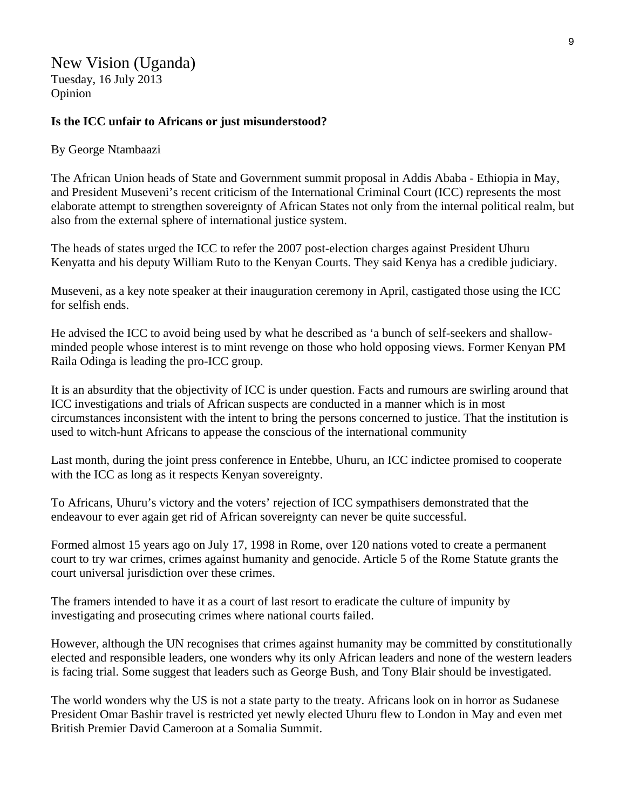## New Vision (Uganda)

Tuesday, 16 July 2013 Opinion

#### **Is the ICC unfair to Africans or just misunderstood?**

#### By George Ntambaazi

The African Union heads of State and Government summit proposal in Addis Ababa - Ethiopia in May, and President Museveni's recent criticism of the International Criminal Court (ICC) represents the most elaborate attempt to strengthen sovereignty of African States not only from the internal political realm, but also from the external sphere of international justice system.

The heads of states urged the ICC to refer the 2007 post-election charges against President Uhuru Kenyatta and his deputy William Ruto to the Kenyan Courts. They said Kenya has a credible judiciary.

Museveni, as a key note speaker at their inauguration ceremony in April, castigated those using the ICC for selfish ends.

He advised the ICC to avoid being used by what he described as 'a bunch of self-seekers and shallowminded people whose interest is to mint revenge on those who hold opposing views. Former Kenyan PM Raila Odinga is leading the pro-ICC group.

It is an absurdity that the objectivity of ICC is under question. Facts and rumours are swirling around that ICC investigations and trials of African suspects are conducted in a manner which is in most circumstances inconsistent with the intent to bring the persons concerned to justice. That the institution is used to witch-hunt Africans to appease the conscious of the international community

Last month, during the joint press conference in Entebbe, Uhuru, an ICC indictee promised to cooperate with the ICC as long as it respects Kenyan sovereignty.

To Africans, Uhuru's victory and the voters' rejection of ICC sympathisers demonstrated that the endeavour to ever again get rid of African sovereignty can never be quite successful.

Formed almost 15 years ago on July 17, 1998 in Rome, over 120 nations voted to create a permanent court to try war crimes, crimes against humanity and genocide. Article 5 of the Rome Statute grants the court universal jurisdiction over these crimes.

The framers intended to have it as a court of last resort to eradicate the culture of impunity by investigating and prosecuting crimes where national courts failed.

However, although the UN recognises that crimes against humanity may be committed by constitutionally elected and responsible leaders, one wonders why its only African leaders and none of the western leaders is facing trial. Some suggest that leaders such as George Bush, and Tony Blair should be investigated.

The world wonders why the US is not a state party to the treaty. Africans look on in horror as Sudanese President Omar Bashir travel is restricted yet newly elected Uhuru flew to London in May and even met British Premier David Cameroon at a Somalia Summit.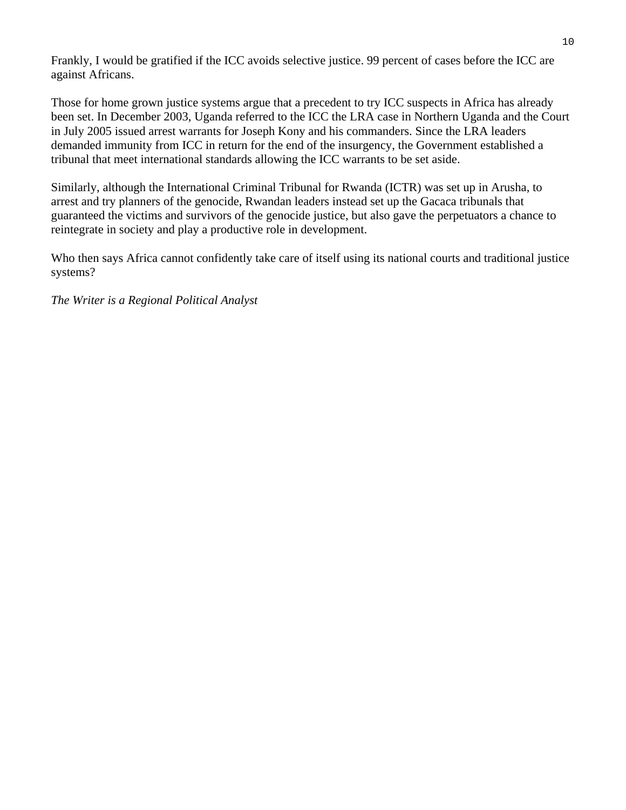Frankly, I would be gratified if the ICC avoids selective justice. 99 percent of cases before the ICC are against Africans.

Those for home grown justice systems argue that a precedent to try ICC suspects in Africa has already been set. In December 2003, Uganda referred to the ICC the LRA case in Northern Uganda and the Court in July 2005 issued arrest warrants for Joseph Kony and his commanders. Since the LRA leaders demanded immunity from ICC in return for the end of the insurgency, the Government established a tribunal that meet international standards allowing the ICC warrants to be set aside.

Similarly, although the International Criminal Tribunal for Rwanda (ICTR) was set up in Arusha, to arrest and try planners of the genocide, Rwandan leaders instead set up the Gacaca tribunals that guaranteed the victims and survivors of the genocide justice, but also gave the perpetuators a chance to reintegrate in society and play a productive role in development.

Who then says Africa cannot confidently take care of itself using its national courts and traditional justice systems?

*The Writer is a Regional Political Analyst*